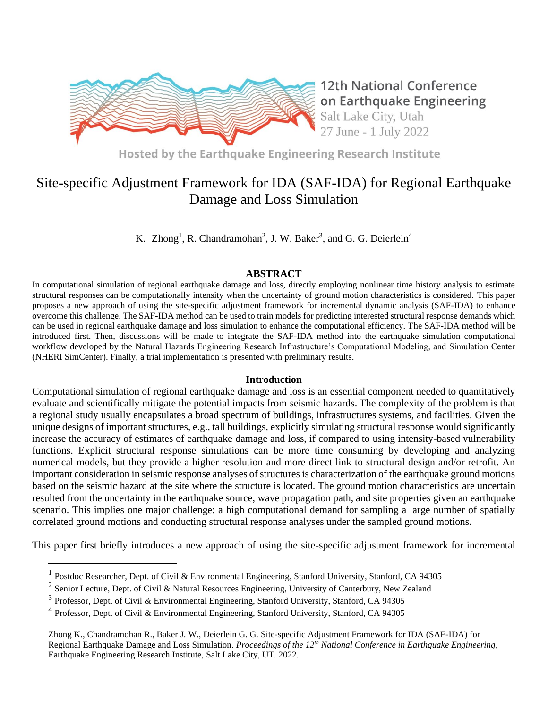

**12th National Conference** on Earthquake Engineering Salt Lake City, Utah 27 June - 1 July 2022

Hosted by the Earthquake Engineering Research Institute

# Site-specific Adjustment Framework for IDA (SAF-IDA) for Regional Earthquake Damage and Loss Simulation

K. Zhong<sup>1</sup>, R. Chandramohan<sup>2</sup>, J. W. Baker<sup>3</sup>, and G. G. Deierlein<sup>4</sup>

# **ABSTRACT**

In computational simulation of regional earthquake damage and loss, directly employing nonlinear time history analysis to estimate structural responses can be computationally intensity when the uncertainty of ground motion characteristics is considered. This paper proposes a new approach of using the site-specific adjustment framework for incremental dynamic analysis (SAF-IDA) to enhance overcome this challenge. The SAF-IDA method can be used to train models for predicting interested structural response demands which can be used in regional earthquake damage and loss simulation to enhance the computational efficiency. The SAF-IDA method will be introduced first. Then, discussions will be made to integrate the SAF-IDA method into the earthquake simulation computational workflow developed by the Natural Hazards Engineering Research Infrastructure's Computational Modeling, and Simulation Center (NHERI SimCenter). Finally, a trial implementation is presented with preliminary results.

# **Introduction**

Computational simulation of regional earthquake damage and loss is an essential component needed to quantitatively evaluate and scientifically mitigate the potential impacts from seismic hazards. The complexity of the problem is that a regional study usually encapsulates a broad spectrum of buildings, infrastructures systems, and facilities. Given the unique designs of important structures, e.g., tall buildings, explicitly simulating structural response would significantly increase the accuracy of estimates of earthquake damage and loss, if compared to using intensity-based vulnerability functions. Explicit structural response simulations can be more time consuming by developing and analyzing numerical models, but they provide a higher resolution and more direct link to structural design and/or retrofit. An important consideration in seismic response analyses of structures is characterization of the earthquake ground motions based on the seismic hazard at the site where the structure is located. The ground motion characteristics are uncertain resulted from the uncertainty in the earthquake source, wave propagation path, and site properties given an earthquake scenario. This implies one major challenge: a high computational demand for sampling a large number of spatially correlated ground motions and conducting structural response analyses under the sampled ground motions.

This paper first briefly introduces a new approach of using the site-specific adjustment framework for incremental

<sup>&</sup>lt;sup>1</sup> Postdoc Researcher, Dept. of Civil & Environmental Engineering, Stanford University, Stanford, CA 94305

<sup>&</sup>lt;sup>2</sup> Senior Lecture, Dept. of Civil & Natural Resources Engineering, University of Canterbury, New Zealand

<sup>&</sup>lt;sup>3</sup> Professor, Dept. of Civil & Environmental Engineering, Stanford University, Stanford, CA 94305

<sup>&</sup>lt;sup>4</sup> Professor, Dept. of Civil & Environmental Engineering, Stanford University, Stanford, CA 94305

Zhong K., Chandramohan R., Baker J. W., Deierlein G. G. Site-specific Adjustment Framework for IDA (SAF-IDA) for Regional Earthquake Damage and Loss Simulation. *Proceedings of the 12th National Conference in Earthquake Engineering*, Earthquake Engineering Research Institute, Salt Lake City, UT. 2022.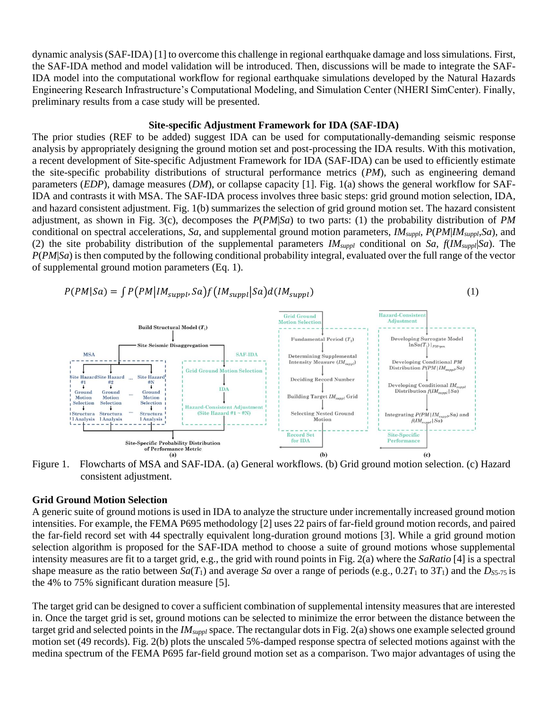dynamic analysis (SAF-IDA) [1] to overcome this challenge in regional earthquake damage and loss simulations. First, the SAF-IDA method and model validation will be introduced. Then, discussions will be made to integrate the SAF-IDA model into the computational workflow for regional earthquake simulations developed by the Natural Hazards Engineering Research Infrastructure's Computational Modeling, and Simulation Center (NHERI SimCenter). Finally, preliminary results from a case study will be presented.

#### **Site-specific Adjustment Framework for IDA (SAF-IDA)**

The prior studies (REF to be added) suggest IDA can be used for computationally-demanding seismic response analysis by appropriately designing the ground motion set and post-processing the IDA results. With this motivation, a recent development of Site-specific Adjustment Framework for IDA (SAF-IDA) can be used to efficiently estimate the site-specific probability distributions of structural performance metrics (*PM*), such as engineering demand parameters (*EDP*), damage measures (*DM*), or collapse capacity [1]. Fig. 1(a) shows the general workflow for SAF-IDA and contrasts it with MSA. The SAF-IDA process involves three basic steps: grid ground motion selection, IDA, and hazard consistent adjustment. Fig. 1(b) summarizes the selection of grid ground motion set. The hazard consistent adjustment, as shown in Fig. 3(c), decomposes the *P*(*PM*|*Sa*) to two parts: (1) the probability distribution of *PM* conditional on spectral accelerations, *Sa*, and supplemental ground motion parameters, *IMsuppl*, *P*(*PM*|*IMsuppl*,*Sa*), and (2) the site probability distribution of the supplemental parameters *IMsuppl* conditional on *Sa*, *f*(*IMsuppl*|*Sa*). The *P*(*PM*|*Sa*) is then computed by the following conditional probability integral, evaluated over the full range of the vector of supplemental ground motion parameters (Eq. 1).

$$
P(PM|Sa) = \int P(PM|IM_{suppl}, Sa) f(IM_{suppl}|Sa) d(IM_{suppl})
$$
\n(1)



Figure 1. Flowcharts of MSA and SAF-IDA. (a) General workflows. (b) Grid ground motion selection. (c) Hazard consistent adjustment.

## **Grid Ground Motion Selection**

A generic suite of ground motions is used in IDA to analyze the structure under incrementally increased ground motion intensities. For example, the FEMA P695 methodology [2] uses 22 pairs of far-field ground motion records, and paired the far-field record set with 44 spectrally equivalent long-duration ground motions [3]. While a grid ground motion selection algorithm is proposed for the SAF-IDA method to choose a suite of ground motions whose supplemental intensity measures are fit to a target grid, e.g., the grid with round points in Fig. 2(a) where the *SaRatio* [4] is a spectral shape measure as the ratio between  $Sa(T_1)$  and average *Sa* over a range of periods (e.g., 0.2 $T_1$  to 3 $T_1$ ) and the  $D_{SS-75}$  is the 4% to 75% significant duration measure [5].

The target grid can be designed to cover a sufficient combination of supplemental intensity measures that are interested in. Once the target grid is set, ground motions can be selected to minimize the error between the distance between the target grid and selected points in the *IMsuppl* space. The rectangular dots in Fig. 2(a) shows one example selected ground motion set (49 records). Fig. 2(b) plots the unscaled 5%-damped response spectra of selected motions against with the medina spectrum of the FEMA P695 far-field ground motion set as a comparison. Two major advantages of using the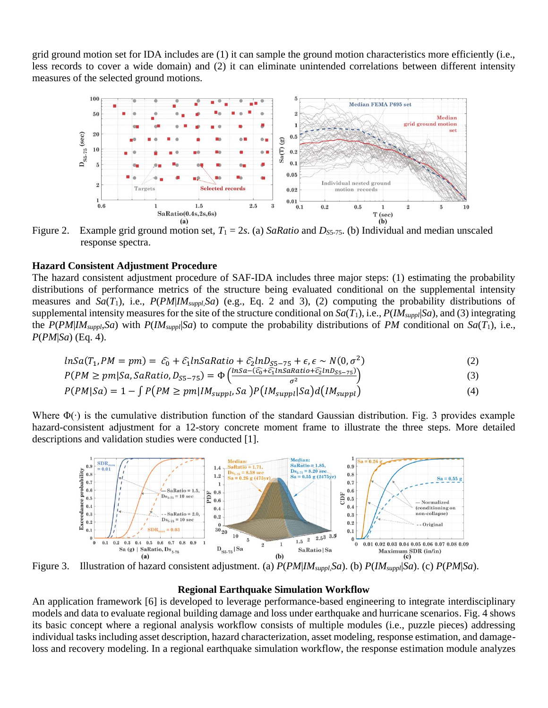grid ground motion set for IDA includes are (1) it can sample the ground motion characteristics more efficiently (i.e., less records to cover a wide domain) and (2) it can eliminate unintended correlations between different intensity measures of the selected ground motions.



Figure 2. Example grid ground motion set,  $T_1 = 2s$ . (a) *SaRatio* and *D<sub>S5-75</sub>*. (b) Individual and median unscaled response spectra.

## **Hazard Consistent Adjustment Procedure**

The hazard consistent adjustment procedure of SAF-IDA includes three major steps: (1) estimating the probability distributions of performance metrics of the structure being evaluated conditional on the supplemental intensity measures and  $Sa(T_1)$ , i.e.,  $P(PM|IM_{suppl}, Sa)$  (e.g., Eq. 2 and 3), (2) computing the probability distributions of supplemental intensity measures for the site of the structure conditional on  $Sa(T_1)$ , i.e.,  $P(M_{suppl}|Sa)$ , and (3) integrating the  $P(PM|IM_{suppl}, Sa)$  with  $P(IM_{suppl}|Sa)$  to compute the probability distributions of *PM* conditional on  $Sa(T_1)$ , i.e., *P*(*PM*|*Sa*) (Eq. 4).

$$
lnSa(T_1,PM=pm)=\hat{c}_0+\hat{c}_1lnSaRatio+\hat{c}_2lnD_{SS-75}+\epsilon,\epsilon \sim N(0,\sigma^2)
$$
\n(2)

$$
P(PM \ge pm|Sa, SaRatio, D_{SS-75}) = \Phi\left(\frac{lnSa - (\widehat{c_0} + \widehat{c_1}lnSaRatio + \widehat{c_2}lnD_{SS-75})}{\sigma^2}\right)
$$
(3)

$$
P(PM|Sa) = 1 - \int P(PM \ge pm|IM_{suppl}, Sa)P(IM_{suppl}|Sa)d(IM_{suppl})
$$
\n(4)

Where  $\Phi(\cdot)$  is the cumulative distribution function of the standard Gaussian distribution. Fig. 3 provides example hazard-consistent adjustment for a 12-story concrete moment frame to illustrate the three steps. More detailed descriptions and validation studies were conducted [1].



Figure 3. Illustration of hazard consistent adjustment. (a) *P*(*PM*|*IMsuppl*,*Sa*). (b) *P*(*IMsuppl*|*Sa*). (c) *P*(*PM*|*Sa*).

## **Regional Earthquake Simulation Workflow**

An application framework [6] is developed to leverage performance-based engineering to integrate interdisciplinary models and data to evaluate regional building damage and loss under earthquake and hurricane scenarios. Fig. 4 shows its basic concept where a regional analysis workflow consists of multiple modules (i.e., puzzle pieces) addressing individual tasks including asset description, hazard characterization, asset modeling, response estimation, and damageloss and recovery modeling. In a regional earthquake simulation workflow, the response estimation module analyzes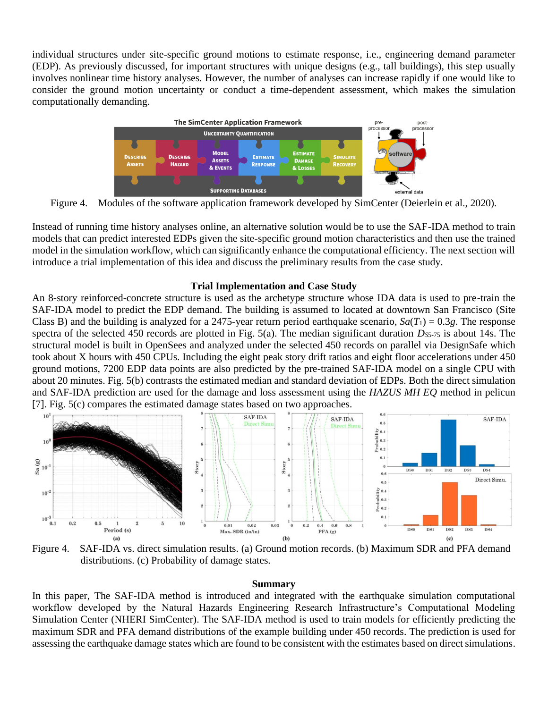individual structures under site-specific ground motions to estimate response, i.e., engineering demand parameter (EDP). As previously discussed, for important structures with unique designs (e.g., tall buildings), this step usually involves nonlinear time history analyses. However, the number of analyses can increase rapidly if one would like to consider the ground motion uncertainty or conduct a time-dependent assessment, which makes the simulation computationally demanding.



Figure 4. Modules of the software application framework developed by SimCenter (Deierlein et al., 2020).

Instead of running time history analyses online, an alternative solution would be to use the SAF-IDA method to train models that can predict interested EDPs given the site-specific ground motion characteristics and then use the trained model in the simulation workflow, which can significantly enhance the computational efficiency. The next section will introduce a trial implementation of this idea and discuss the preliminary results from the case study.

# **Trial Implementation and Case Study**

An 8-story reinforced-concrete structure is used as the archetype structure whose IDA data is used to pre-train the SAF-IDA model to predict the EDP demand. The building is assumed to located at downtown San Francisco (Site Class B) and the building is analyzed for a 2475-year return period earthquake scenario,  $Sa(T_1) = 0.3g$ . The response spectra of the selected 450 records are plotted in Fig. 5(a). The median significant duration *DS*5-75 is about 14s. The structural model is built in OpenSees and analyzed under the selected 450 records on parallel via DesignSafe which took about X hours with 450 CPUs. Including the eight peak story drift ratios and eight floor accelerations under 450 ground motions, 7200 EDP data points are also predicted by the pre-trained SAF-IDA model on a single CPU with about 20 minutes. Fig. 5(b) contrasts the estimated median and standard deviation of EDPs. Both the direct simulation and SAF-IDA prediction are used for the damage and loss assessment using the *HAZUS MH EQ* method in pelicun [7]. Fig. 5(c) compares the estimated damage states based on two approaches.



Figure 4. SAF-IDA vs. direct simulation results. (a) Ground motion records. (b) Maximum SDR and PFA demand distributions. (c) Probability of damage states.

#### **Summary**

In this paper, The SAF-IDA method is introduced and integrated with the earthquake simulation computational workflow developed by the Natural Hazards Engineering Research Infrastructure's Computational Modeling Simulation Center (NHERI SimCenter). The SAF-IDA method is used to train models for efficiently predicting the maximum SDR and PFA demand distributions of the example building under 450 records. The prediction is used for assessing the earthquake damage states which are found to be consistent with the estimates based on direct simulations.